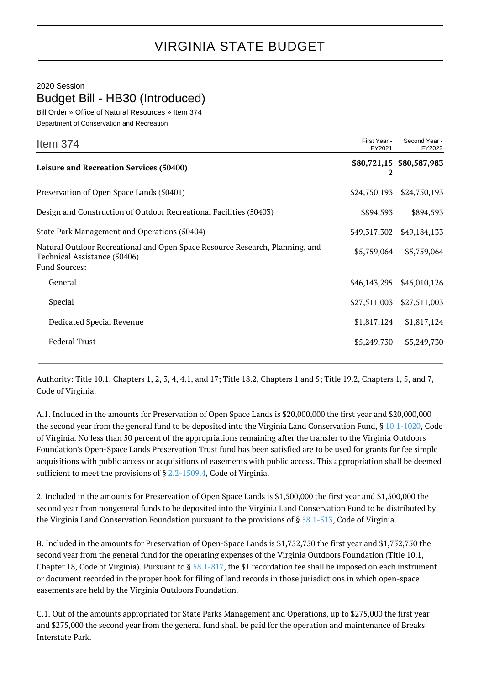## 2020 Session

Budget Bill - HB30 (Introduced)

Bill Order » Office of Natural Resources » Item 374

Department of Conservation and Recreation

| Item $374$                                                                                                                    | First Year -<br>FY2021 | Second Year -<br>FY2022  |
|-------------------------------------------------------------------------------------------------------------------------------|------------------------|--------------------------|
| <b>Leisure and Recreation Services (50400)</b>                                                                                | 2                      | \$80,721,15 \$80,587,983 |
| Preservation of Open Space Lands (50401)                                                                                      | \$24,750,193           | \$24,750,193             |
| Design and Construction of Outdoor Recreational Facilities (50403)                                                            | \$894,593              | \$894,593                |
| State Park Management and Operations (50404)                                                                                  | \$49,317,302           | \$49,184,133             |
| Natural Outdoor Recreational and Open Space Resource Research, Planning, and<br>Technical Assistance (50406)<br>Fund Sources: | \$5,759,064            | \$5,759,064              |
| General                                                                                                                       | \$46,143,295           | \$46,010,126             |
| Special                                                                                                                       | \$27,511,003           | \$27,511,003             |
| Dedicated Special Revenue                                                                                                     | \$1,817,124            | \$1,817,124              |
| <b>Federal Trust</b>                                                                                                          | \$5,249,730            | \$5,249,730              |
|                                                                                                                               |                        |                          |

Authority: Title 10.1, Chapters 1, 2, 3, 4, 4.1, and 17; Title 18.2, Chapters 1 and 5; Title 19.2, Chapters 1, 5, and 7, Code of Virginia.

A.1. Included in the amounts for Preservation of Open Space Lands is \$20,000,000 the first year and \$20,000,000 the second year from the general fund to be deposited into the Virginia Land Conservation Fund, § [10.1-1020](http://law.lis.virginia.gov/vacode/10.1-1020/), Code of Virginia. No less than 50 percent of the appropriations remaining after the transfer to the Virginia Outdoors Foundation's Open-Space Lands Preservation Trust fund has been satisfied are to be used for grants for fee simple acquisitions with public access or acquisitions of easements with public access. This appropriation shall be deemed sufficient to meet the provisions of § [2.2-1509.4,](http://law.lis.virginia.gov/vacode/2.2-1509.4/) Code of Virginia.

2. Included in the amounts for Preservation of Open Space Lands is \$1,500,000 the first year and \$1,500,000 the second year from nongeneral funds to be deposited into the Virginia Land Conservation Fund to be distributed by the Virginia Land Conservation Foundation pursuant to the provisions of § [58.1-513](http://law.lis.virginia.gov/vacode/58.1-513/), Code of Virginia.

B. Included in the amounts for Preservation of Open-Space Lands is \$1,752,750 the first year and \$1,752,750 the second year from the general fund for the operating expenses of the Virginia Outdoors Foundation (Title 10.1, Chapter 18, Code of Virginia). Pursuant to  $\S 58.1 - 817$ , the \$1 recordation fee shall be imposed on each instrument or document recorded in the proper book for filing of land records in those jurisdictions in which open-space easements are held by the Virginia Outdoors Foundation.

C.1. Out of the amounts appropriated for State Parks Management and Operations, up to \$275,000 the first year and \$275,000 the second year from the general fund shall be paid for the operation and maintenance of Breaks Interstate Park.